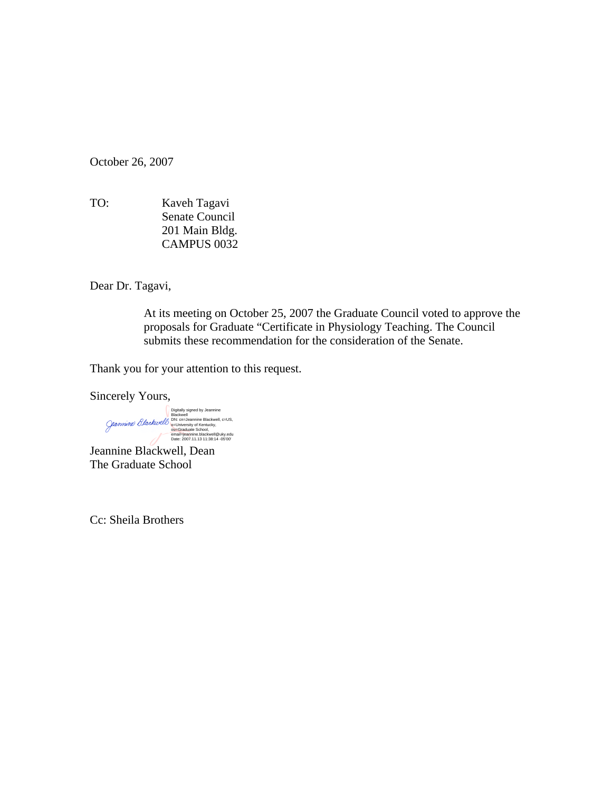October 26, 2007

TO:Kaveh Tagavi Senate Council 201 Main Bldg. CAMPUS 0032

Dear Dr. Tagavi,

At its meeting on October 25, 2007 the Graduate Council voted to approve the proposals for Graduate "Certificate in Physiology Teaching. The Council submits these recommendation for the consideration of the Senate.

Thank you for your attention to this request.

Sincerely Yours,

Digitally signed by Jeannine<br>Blackwell<br>DN: cn=Jeannine Blackwell, c=US,<br>o=University of Kentucky,<br>o<u>ū=Graduat</u>e School,<br>email=jeannine.blackwell@uky.edu<br>Date: 2007.11.13 11:38:14 -05'00'

Jeannine Blackwell, Dean The Graduate School

Cc: Sheila Brothers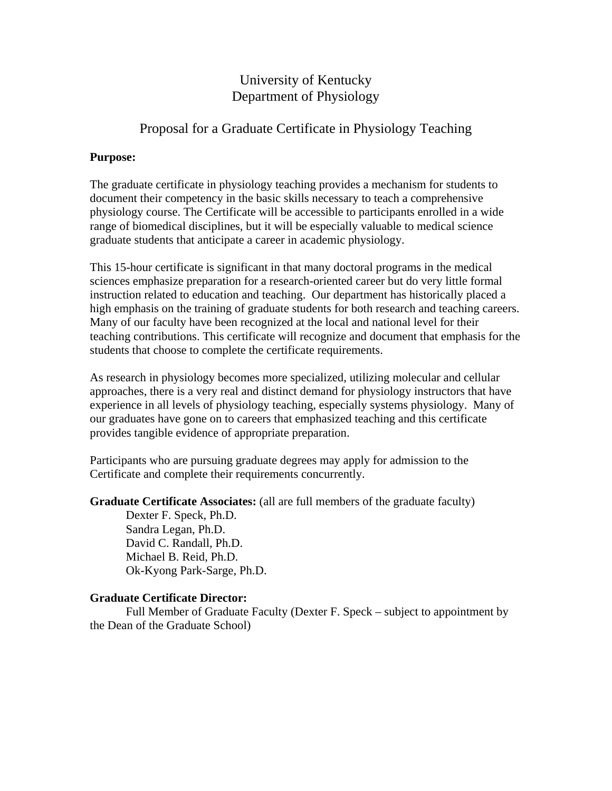# University of Kentucky Department of Physiology

## Proposal for a Graduate Certificate in Physiology Teaching

#### **Purpose:**

The graduate certificate in physiology teaching provides a mechanism for students to document their competency in the basic skills necessary to teach a comprehensive physiology course. The Certificate will be accessible to participants enrolled in a wide range of biomedical disciplines, but it will be especially valuable to medical science graduate students that anticipate a career in academic physiology.

This 15-hour certificate is significant in that many doctoral programs in the medical sciences emphasize preparation for a research-oriented career but do very little formal instruction related to education and teaching. Our department has historically placed a high emphasis on the training of graduate students for both research and teaching careers. Many of our faculty have been recognized at the local and national level for their teaching contributions. This certificate will recognize and document that emphasis for the students that choose to complete the certificate requirements.

As research in physiology becomes more specialized, utilizing molecular and cellular approaches, there is a very real and distinct demand for physiology instructors that have experience in all levels of physiology teaching, especially systems physiology. Many of our graduates have gone on to careers that emphasized teaching and this certificate provides tangible evidence of appropriate preparation.

Participants who are pursuing graduate degrees may apply for admission to the Certificate and complete their requirements concurrently.

**Graduate Certificate Associates:** (all are full members of the graduate faculty)

 Dexter F. Speck, Ph.D. Sandra Legan, Ph.D. David C. Randall, Ph.D. Michael B. Reid, Ph.D. Ok-Kyong Park-Sarge, Ph.D.

### **Graduate Certificate Director:**

 Full Member of Graduate Faculty (Dexter F. Speck – subject to appointment by the Dean of the Graduate School)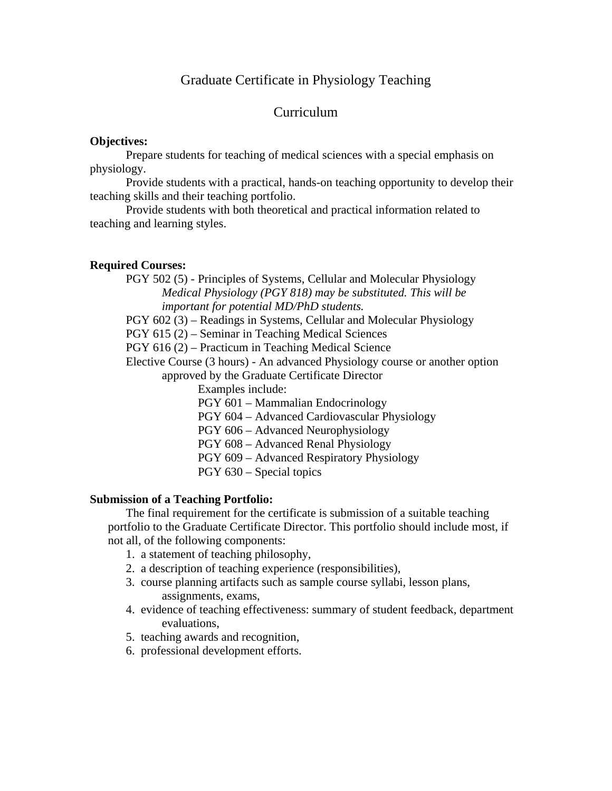### Graduate Certificate in Physiology Teaching

### Curriculum

#### **Objectives:**

 Prepare students for teaching of medical sciences with a special emphasis on physiology.

 Provide students with a practical, hands-on teaching opportunity to develop their teaching skills and their teaching portfolio.

 Provide students with both theoretical and practical information related to teaching and learning styles.

#### **Required Courses:**

 PGY 502 (5) - Principles of Systems, Cellular and Molecular Physiology *Medical Physiology (PGY 818) may be substituted. This will be important for potential MD/PhD students.* 

PGY 602 (3) – Readings in Systems, Cellular and Molecular Physiology

PGY 615 (2) – Seminar in Teaching Medical Sciences

PGY 616 (2) – Practicum in Teaching Medical Science

 Elective Course (3 hours) - An advanced Physiology course or another option approved by the Graduate Certificate Director

Examples include:

PGY 601 – Mammalian Endocrinology

PGY 604 – Advanced Cardiovascular Physiology

PGY 606 – Advanced Neurophysiology

PGY 608 – Advanced Renal Physiology

PGY 609 – Advanced Respiratory Physiology

PGY 630 – Special topics

#### **Submission of a Teaching Portfolio:**

 The final requirement for the certificate is submission of a suitable teaching portfolio to the Graduate Certificate Director. This portfolio should include most, if not all, of the following components:

- 1. a statement of teaching philosophy,
- 2. a description of teaching experience (responsibilities),
- 3. course planning artifacts such as sample course syllabi, lesson plans, assignments, exams,
- 4. evidence of teaching effectiveness: summary of student feedback, department evaluations,
- 5. teaching awards and recognition,
- 6. professional development efforts.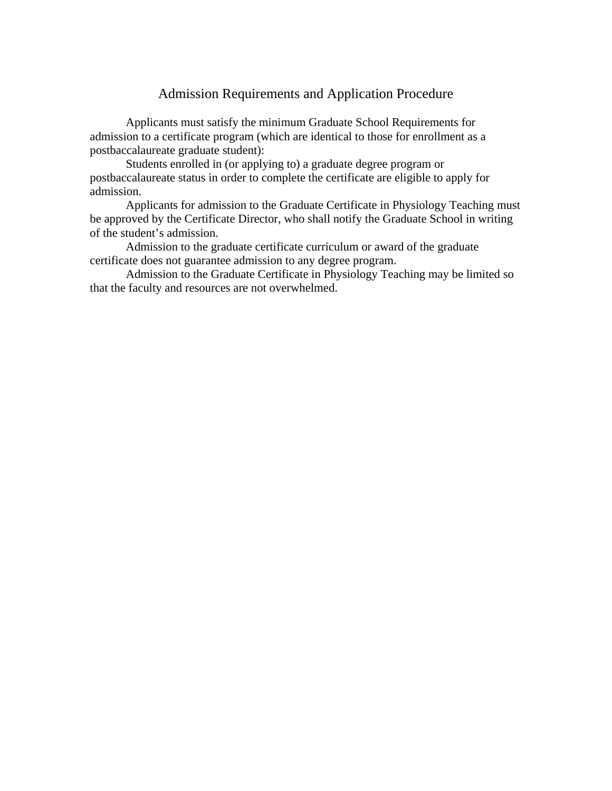## Admission Requirements and Application Procedure

 Applicants must satisfy the minimum Graduate School Requirements for admission to a certificate program (which are identical to those for enrollment as a postbaccalaureate graduate student):

 Students enrolled in (or applying to) a graduate degree program or postbaccalaureate status in order to complete the certificate are eligible to apply for admission.

 Applicants for admission to the Graduate Certificate in Physiology Teaching must be approved by the Certificate Director, who shall notify the Graduate School in writing of the student's admission.

 Admission to the graduate certificate curriculum or award of the graduate certificate does not guarantee admission to any degree program.

 Admission to the Graduate Certificate in Physiology Teaching may be limited so that the faculty and resources are not overwhelmed.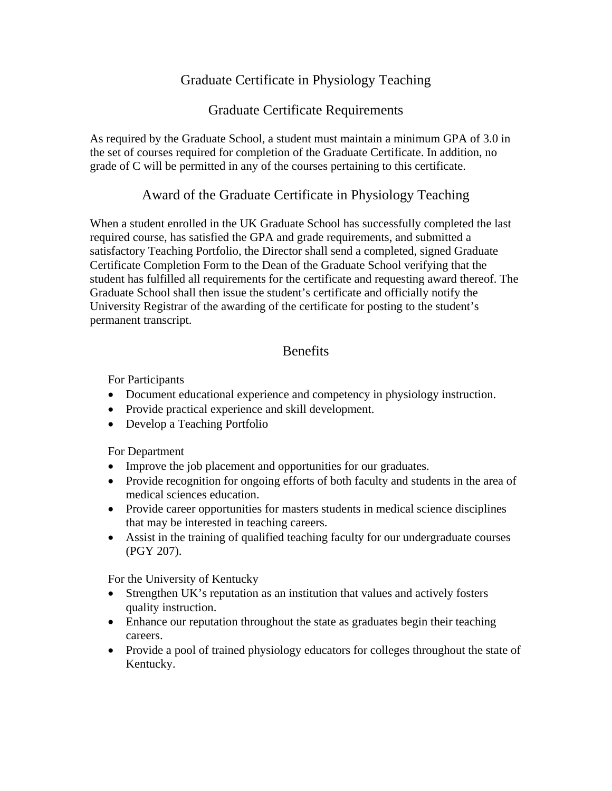# Graduate Certificate in Physiology Teaching

## Graduate Certificate Requirements

As required by the Graduate School, a student must maintain a minimum GPA of 3.0 in the set of courses required for completion of the Graduate Certificate. In addition, no grade of C will be permitted in any of the courses pertaining to this certificate.

## Award of the Graduate Certificate in Physiology Teaching

When a student enrolled in the UK Graduate School has successfully completed the last required course, has satisfied the GPA and grade requirements, and submitted a satisfactory Teaching Portfolio, the Director shall send a completed, signed Graduate Certificate Completion Form to the Dean of the Graduate School verifying that the student has fulfilled all requirements for the certificate and requesting award thereof. The Graduate School shall then issue the student's certificate and officially notify the University Registrar of the awarding of the certificate for posting to the student's permanent transcript.

# **Benefits**

For Participants

- Document educational experience and competency in physiology instruction.
- Provide practical experience and skill development.
- Develop a Teaching Portfolio

For Department

- Improve the job placement and opportunities for our graduates.
- Provide recognition for ongoing efforts of both faculty and students in the area of medical sciences education.
- Provide career opportunities for masters students in medical science disciplines that may be interested in teaching careers.
- Assist in the training of qualified teaching faculty for our undergraduate courses (PGY 207).

For the University of Kentucky

- Strengthen UK's reputation as an institution that values and actively fosters quality instruction.
- Enhance our reputation throughout the state as graduates begin their teaching careers.
- Provide a pool of trained physiology educators for colleges throughout the state of Kentucky.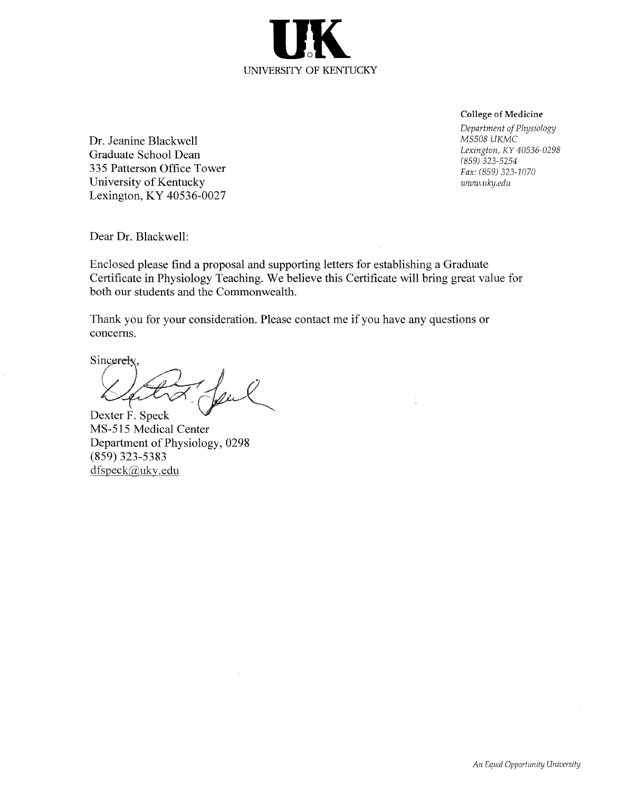**College of Medicine** 

Department of Physiology MS508 UKMC Lexington, KY 40536-0298  $(859)$  323-5254 Fax: (859) 323-1070 www.uky.edu

Dr. Jeanine Blackwell Graduate School Dean 335 Patterson Office Tower University of Kentucky Lexington, KY 40536-0027

Dear Dr. Blackwell:

Enclosed please find a proposal and supporting letters for establishing a Graduate Certificate in Physiology Teaching. We believe this Certificate will bring great value for both our students and the Commonwealth.

Thank you for your consideration. Please contact me if you have any questions or concerns.

Sincerely

 $n$ ,  $\varrho$ 

Dexter F. Speck MS-515 Medical Center Department of Physiology, 0298  $(859)$  323-5383 dfspeck@uky.edu